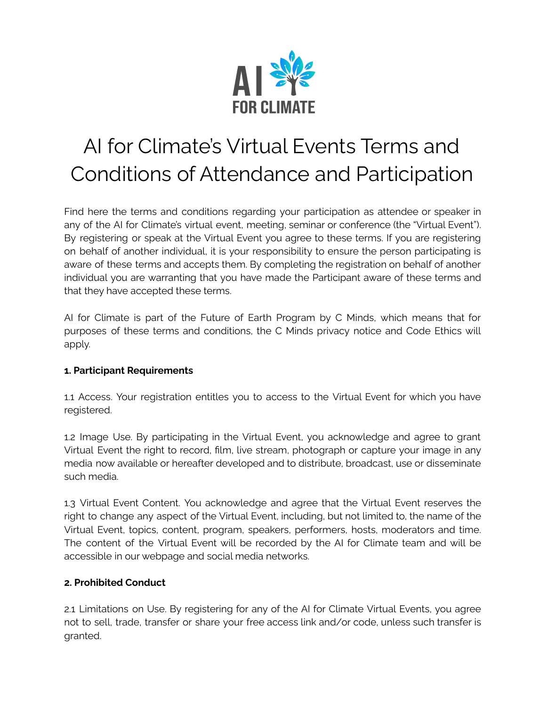

# AI for Climate's Virtual Events Terms and Conditions of Attendance and Participation

Find here the terms and conditions regarding your participation as attendee or speaker in any of the AI for Climate's virtual event, meeting, seminar or conference (the "Virtual Event"). By registering or speak at the Virtual Event you agree to these terms. If you are registering on behalf of another individual, it is your responsibility to ensure the person participating is aware of these terms and accepts them. By completing the registration on behalf of another individual you are warranting that you have made the Participant aware of these terms and that they have accepted these terms.

AI for Climate is part of the Future of Earth Program by C Minds, which means that for purposes of these terms and conditions, the C Minds privacy notice and Code Ethics will apply.

# **1. Participant Requirements**

1.1 Access. Your registration entitles you to access to the Virtual Event for which you have registered.

1.2 Image Use. By participating in the Virtual Event, you acknowledge and agree to grant Virtual Event the right to record, film, live stream, photograph or capture your image in any media now available or hereafter developed and to distribute, broadcast, use or disseminate such media.

1.3 Virtual Event Content. You acknowledge and agree that the Virtual Event reserves the right to change any aspect of the Virtual Event, including, but not limited to, the name of the Virtual Event, topics, content, program, speakers, performers, hosts, moderators and time. The content of the Virtual Event will be recorded by the AI for Climate team and will be accessible in our webpage and social media networks.

# **2. Prohibited Conduct**

2.1 Limitations on Use. By registering for any of the AI for Climate Virtual Events, you agree not to sell, trade, transfer or share your free access link and/or code, unless such transfer is granted.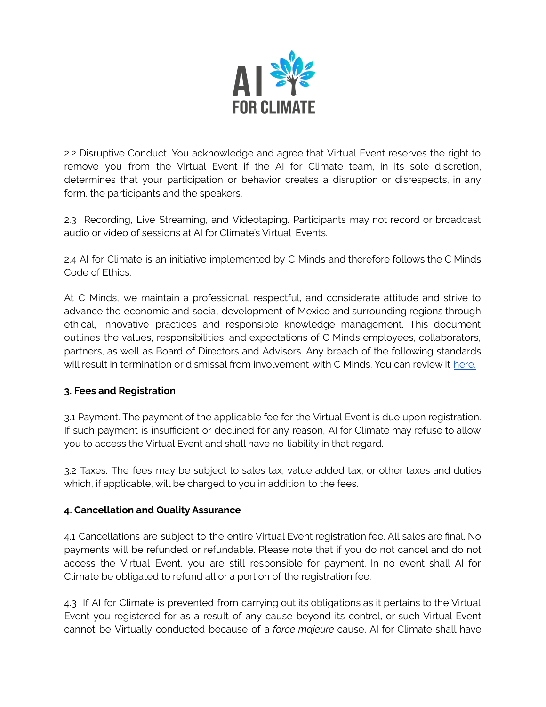

2.2 Disruptive Conduct. You acknowledge and agree that Virtual Event reserves the right to remove you from the Virtual Event if the AI for Climate team, in its sole discretion, determines that your participation or behavior creates a disruption or disrespects, in any form, the participants and the speakers.

2.3 Recording, Live Streaming, and Videotaping. Participants may not record or broadcast audio or video of sessions at AI for Climate's Virtual Events.

2.4 AI for Climate is an initiative implemented by C Minds and therefore follows the C Minds Code of Ethics.

At C Minds, we maintain a professional, respectful, and considerate attitude and strive to advance the economic and social development of Mexico and surrounding regions through ethical, innovative practices and responsible knowledge management. This document outlines the values, responsibilities, and expectations of C Minds employees, collaborators, partners, as well as Board of Directors and Advisors. Any breach of the following standards will result in termination or dismissal from involvement with C Minds. You can review it [here.](https://7da2ca8d-b80d-4593-a0ab-5272e2b9c6c5.filesusr.com/ugd/7be025_83b184bfb546461588d8471dc1553067.pdf)

# **3. Fees and Registration**

3.1 Payment. The payment of the applicable fee for the Virtual Event is due upon registration. If such payment is insufficient or declined for any reason, AI for Climate may refuse to allow you to access the Virtual Event and shall have no liability in that regard.

3.2 Taxes. The fees may be subject to sales tax, value added tax, or other taxes and duties which, if applicable, will be charged to you in addition to the fees.

### **4. Cancellation and Quality Assurance**

4.1 Cancellations are subject to the entire Virtual Event registration fee. All sales are final. No payments will be refunded or refundable. Please note that if you do not cancel and do not access the Virtual Event, you are still responsible for payment. In no event shall AI for Climate be obligated to refund all or a portion of the registration fee.

4.3 If AI for Climate is prevented from carrying out its obligations as it pertains to the Virtual Event you registered for as a result of any cause beyond its control, or such Virtual Event cannot be Virtually conducted because of a *force majeure* cause, AI for Climate shall have